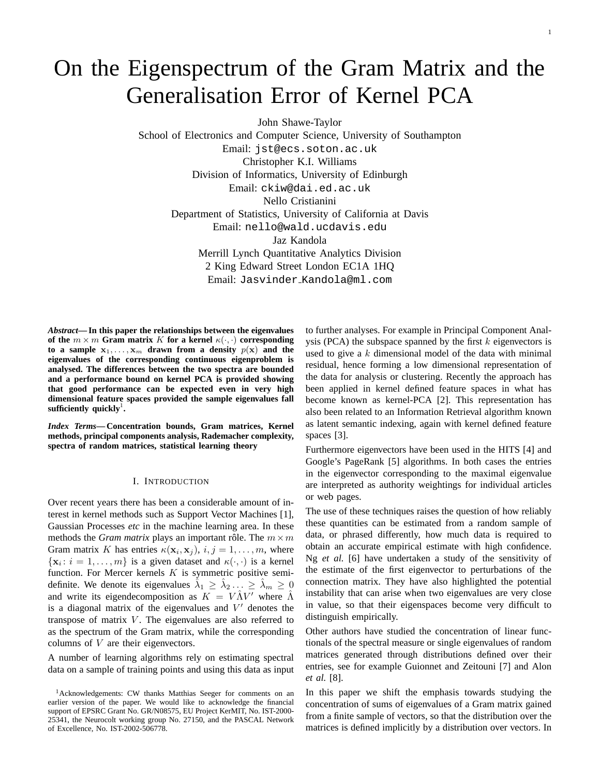# On the Eigenspectrum of the Gram Matrix and the Generalisation Error of Kernel PCA

John Shawe-Taylor

School of Electronics and Computer Science, University of Southampton Email: jst@ecs.soton.ac.uk Christopher K.I. Williams Division of Informatics, University of Edinburgh Email: ckiw@dai.ed.ac.uk Nello Cristianini Department of Statistics, University of California at Davis Email: nello@wald.ucdavis.edu Jaz Kandola Merrill Lynch Quantitative Analytics Division 2 King Edward Street London EC1A 1HQ Email: Jasvinder Kandola@ml.com

*Abstract***— In this paper the relationships between the eigenvalues of the**  $m \times m$  **Gram matrix** K **for a kernel**  $\kappa(\cdot, \cdot)$  **corresponding** to a sample  $x_1, \ldots, x_m$  drawn from a density  $p(x)$  and the **eigenvalues of the corresponding continuous eigenproblem is analysed. The differences between the two spectra are bounded and a performance bound on kernel PCA is provided showing that good performance can be expected even in very high dimensional feature spaces provided the sample eigenvalues fall** sufficiently quickly<sup>1</sup>.

*Index Terms***— Concentration bounds, Gram matrices, Kernel methods, principal components analysis, Rademacher complexity, spectra of random matrices, statistical learning theory**

## I. INTRODUCTION

Over recent years there has been a considerable amount of interest in kernel methods such as Support Vector Machines [1], Gaussian Processes *etc* in the machine learning area. In these methods the *Gram matrix* plays an important rôle. The  $m \times m$ Gram matrix K has entries  $\kappa(\mathbf{x}_i, \mathbf{x}_j)$ ,  $i, j = 1, \dots, m$ , where  $\{x_i : i = 1, \ldots, m\}$  is a given dataset and  $\kappa(\cdot, \cdot)$  is a kernel function. For Mercer kernels  $K$  is symmetric positive semidefinite. We denote its eigenvalues  $\hat{\lambda}_1 \ge \hat{\lambda}_2 ... \ge \hat{\lambda}_m \ge 0$ and write its eigendecomposition as  $K = V \hat{\Lambda} V'$  where  $\hat{\Lambda}$ is a diagonal matrix of the eigenvalues and  $V'$  denotes the transpose of matrix  $V$ . The eigenvalues are also referred to as the spectrum of the Gram matrix, while the corresponding columns of V are their eigenvectors.

A number of learning algorithms rely on estimating spectral data on a sample of training points and using this data as input to further analyses. For example in Principal Component Analysis (PCA) the subspace spanned by the first  $k$  eigenvectors is used to give a  $k$  dimensional model of the data with minimal residual, hence forming a low dimensional representation of the data for analysis or clustering. Recently the approach has been applied in kernel defined feature spaces in what has become known as kernel-PCA [2]. This representation has also been related to an Information Retrieval algorithm known as latent semantic indexing, again with kernel defined feature spaces [3].

Furthermore eigenvectors have been used in the HITS [4] and Google's PageRank [5] algorithms. In both cases the entries in the eigenvector corresponding to the maximal eigenvalue are interpreted as authority weightings for individual articles or web pages.

The use of these techniques raises the question of how reliably these quantities can be estimated from a random sample of data, or phrased differently, how much data is required to obtain an accurate empirical estimate with high confidence. Ng *et al.* [6] have undertaken a study of the sensitivity of the estimate of the first eigenvector to perturbations of the connection matrix. They have also highlighted the potential instability that can arise when two eigenvalues are very close in value, so that their eigenspaces become very difficult to distinguish empirically.

Other authors have studied the concentration of linear functionals of the spectral measure or single eigenvalues of random matrices generated through distributions defined over their entries, see for example Guionnet and Zeitouni [7] and Alon *et al.* [8].

In this paper we shift the emphasis towards studying the concentration of sums of eigenvalues of a Gram matrix gained from a finite sample of vectors, so that the distribution over the matrices is defined implicitly by a distribution over vectors. In

<sup>&</sup>lt;sup>1</sup>Acknowledgements: CW thanks Matthias Seeger for comments on an earlier version of the paper. We would like to acknowledge the financial support of EPSRC Grant No. GR/N08575, EU Project KerMIT, No. IST-2000- 25341, the Neurocolt working group No. 27150, and the PASCAL Network of Excellence, No. IST-2002-506778.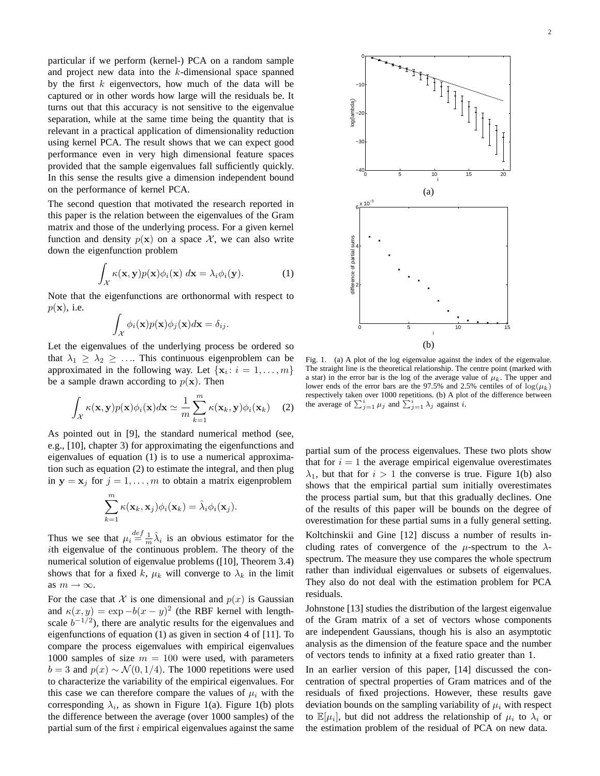particular if we perform (kernel-) PCA on a random sample and project new data into the k-dimensional space spanned by the first  $k$  eigenvectors, how much of the data will be captured or in other words how large will the residuals be. It turns out that this accuracy is not sensitive to the eigenvalue separation, while at the same time being the quantity that is relevant in a practical application of dimensionality reduction using kernel PCA. The result shows that we can expect good performance even in very high dimensional feature spaces provided that the sample eigenvalues fall sufficiently quickly. In this sense the results give a dimension independent bound on the performance of kernel PCA.

The second question that motivated the research reported in this paper is the relation between the eigenvalues of the Gram matrix and those of the underlying process. For a given kernel function and density  $p(x)$  on a space X, we can also write down the eigenfunction problem

$$
\int_{\mathcal{X}} \kappa(\mathbf{x}, \mathbf{y}) p(\mathbf{x}) \phi_i(\mathbf{x}) \, d\mathbf{x} = \lambda_i \phi_i(\mathbf{y}). \tag{1}
$$

Note that the eigenfunctions are orthonormal with respect to  $p(\mathbf{x})$ , i.e.

$$
\int_{\mathcal{X}} \phi_i(\mathbf{x}) p(\mathbf{x}) \phi_j(\mathbf{x}) d\mathbf{x} = \delta_{ij}.
$$

Let the eigenvalues of the underlying process be ordered so that  $\lambda_1 \geq \lambda_2 \geq \ldots$  This continuous eigenproblem can be approximated in the following way. Let  $\{x_i : i = 1, ..., m\}$ be a sample drawn according to  $p(x)$ . Then

$$
\int_{\mathcal{X}} \kappa(\mathbf{x}, \mathbf{y}) p(\mathbf{x}) \phi_i(\mathbf{x}) d\mathbf{x} \simeq \frac{1}{m} \sum_{k=1}^m \kappa(\mathbf{x}_k, \mathbf{y}) \phi_i(\mathbf{x}_k) \quad (2)
$$

As pointed out in [9], the standard numerical method (see, e.g., [10], chapter 3) for approximating the eigenfunctions and eigenvalues of equation (1) is to use a numerical approximation such as equation (2) to estimate the integral, and then plug in  $y = x_j$  for  $j = 1, ..., m$  to obtain a matrix eigenproblem

$$
\sum_{k=1}^m \kappa(\mathbf{x}_k, \mathbf{x}_j) \phi_i(\mathbf{x}_k) = \hat{\lambda}_i \phi_i(\mathbf{x}_j).
$$

Thus we see that  $\mu_i \stackrel{def}{=} \frac{1}{m} \hat{\lambda}_i$  is an obvious estimator for the ith eigenvalue of the continuous problem. The theory of the numerical solution of eigenvalue problems ([10], Theorem 3.4) shows that for a fixed k,  $\mu_k$  will converge to  $\lambda_k$  in the limit as  $m \to \infty$ .

For the case that X is one dimensional and  $p(x)$  is Gaussian and  $\kappa(x, y) = \exp(-b(x - y)^2)$  (the RBF kernel with lengthscale  $b^{-1/2}$ ), there are analytic results for the eigenvalues and eigenfunctions of equation (1) as given in section 4 of [11]. To compare the process eigenvalues with empirical eigenvalues 1000 samples of size  $m = 100$  were used, with parameters  $b = 3$  and  $p(x) \sim \mathcal{N}(0, 1/4)$ . The 1000 repetitions were used to characterize the variability of the empirical eigenvalues. For this case we can therefore compare the values of  $\mu_i$  with the corresponding  $\lambda_i$ , as shown in Figure 1(a). Figure 1(b) plots the difference between the average (over 1000 samples) of the partial sum of the first  $i$  empirical eigenvalues against the same



Fig. 1. (a) A plot of the log eigenvalue against the index of the eigenvalue. The straight line is the theoretical relationship. The centre point (marked with a star) in the error bar is the log of the average value of  $\mu_k$ . The upper and lower ends of the error bars are the 97.5% and 2.5% centiles of of  $\log(\mu_k)$ respectively taken over 1000 repetitions. (b) A plot of the difference between respectively taken over 1000 repetitions. (b) A pion-<br>the average of  $\sum_{j=1}^{i} \mu_j$  and  $\sum_{j=1}^{i} \lambda_j$  against i.

partial sum of the process eigenvalues. These two plots show that for  $i = 1$  the average empirical eigenvalue overestimates  $\lambda_1$ , but that for  $i > 1$  the converse is true. Figure 1(b) also shows that the empirical partial sum initially overestimates the process partial sum, but that this gradually declines. One of the results of this paper will be bounds on the degree of overestimation for these partial sums in a fully general setting. Koltchinskii and Gine [12] discuss a number of results including rates of convergence of the  $\mu$ -spectrum to the  $\lambda$ spectrum. The measure they use compares the whole spectrum rather than individual eigenvalues or subsets of eigenvalues. They also do not deal with the estimation problem for PCA residuals.

Johnstone [13] studies the distribution of the largest eigenvalue of the Gram matrix of a set of vectors whose components are independent Gaussians, though his is also an asymptotic analysis as the dimension of the feature space and the number of vectors tends to infinity at a fixed ratio greater than 1.

In an earlier version of this paper, [14] discussed the concentration of spectral properties of Gram matrices and of the residuals of fixed projections. However, these results gave deviation bounds on the sampling variability of  $\mu_i$  with respect to  $\mathbb{E}[\mu_i]$ , but did not address the relationship of  $\mu_i$  to  $\lambda_i$  or the estimation problem of the residual of PCA on new data.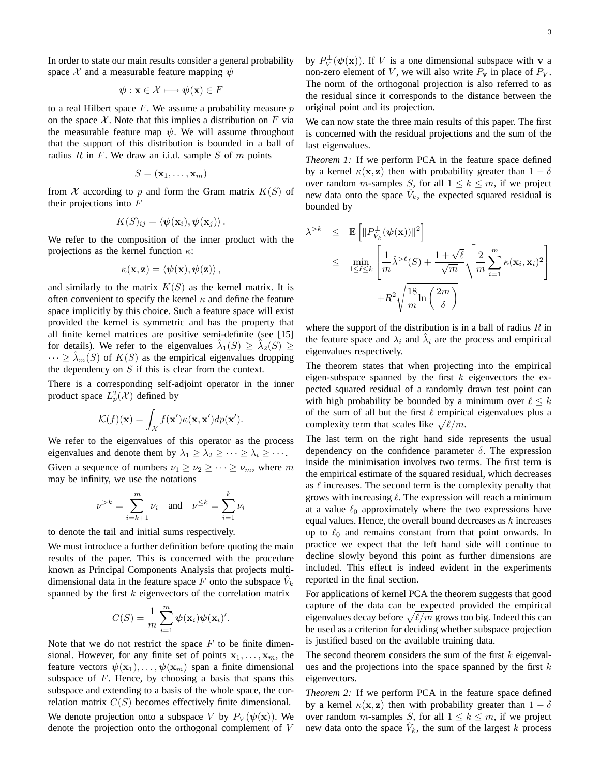In order to state our main results consider a general probability space X and a measurable feature mapping  $\psi$ 

$$
\boldsymbol{\psi}: \mathbf{x} \in \mathcal{X} \longmapsto \boldsymbol{\psi}(\mathbf{x}) \in F
$$

to a real Hilbert space  $F$ . We assume a probability measure  $p$ on the space X. Note that this implies a distribution on F via the measurable feature map  $\psi$ . We will assume throughout that the support of this distribution is bounded in a ball of radius  $R$  in  $F$ . We draw an i.i.d. sample  $S$  of  $m$  points

$$
S = (\mathbf{x}_1, \dots, \mathbf{x}_m)
$$

from X according to p and form the Gram matrix  $K(S)$  of their projections into  $F$ 

$$
K(S)_{ij} = \langle \boldsymbol{\psi}(\mathbf{x}_i), \boldsymbol{\psi}(\mathbf{x}_j) \rangle.
$$

We refer to the composition of the inner product with the projections as the kernel function  $\kappa$ :

$$
\kappa(\mathbf{x}, \mathbf{z}) = \langle \psi(\mathbf{x}), \psi(\mathbf{z}) \rangle \,,
$$

and similarly to the matrix  $K(S)$  as the kernel matrix. It is often convenient to specify the kernel  $\kappa$  and define the feature space implicitly by this choice. Such a feature space will exist provided the kernel is symmetric and has the property that all finite kernel matrices are positive semi-definite (see [15] for details). We refer to the eigenvalues  $\hat{\lambda}_1(S) \geq \hat{\lambda}_2(S) \geq$  $\cdots \geq \lambda_m(S)$  of  $K(S)$  as the empirical eigenvalues dropping the dependency on  $S$  if this is clear from the context.

There is a corresponding self-adjoint operator in the inner product space  $L_p^2(\mathcal{X})$  defined by

$$
\mathcal{K}(f)(\mathbf{x}) = \int_{\mathcal{X}} f(\mathbf{x}') \kappa(\mathbf{x}, \mathbf{x}') dp(\mathbf{x}').
$$

We refer to the eigenvalues of this operator as the process eigenvalues and denote them by  $\lambda_1 \geq \lambda_2 \geq \cdots \geq \lambda_i \geq \cdots$ . Given a sequence of numbers  $\nu_1 \geq \nu_2 \geq \cdots \geq \nu_m$ , where m may be infinity, we use the notations

$$
\nu^{>k} = \sum_{i=k+1}^{m} \nu_i
$$
 and  $\nu^{\leq k} = \sum_{i=1}^{k} \nu_i$ 

to denote the tail and initial sums respectively.

We must introduce a further definition before quoting the main results of the paper. This is concerned with the procedure known as Principal Components Analysis that projects multidimensional data in the feature space F onto the subspace  $V_k$ spanned by the first  $k$  eigenvectors of the correlation matrix

$$
C(S) = \frac{1}{m} \sum_{i=1}^{m} \psi(\mathbf{x}_i) \psi(\mathbf{x}_i)'.
$$

Note that we do not restrict the space  $F$  to be finite dimensional. However, for any finite set of points  $x_1, \ldots, x_m$ , the feature vectors  $\psi(\mathbf{x}_1), \dots, \psi(\mathbf{x}_m)$  span a finite dimensional subspace of  $F$ . Hence, by choosing a basis that spans this subspace and extending to a basis of the whole space, the correlation matrix  $C(S)$  becomes effectively finite dimensional. We denote projection onto a subspace V by  $P_V(\psi(\mathbf{x}))$ . We denote the projection onto the orthogonal complement of V

by  $P_V^{\perp}(\psi(\mathbf{x}))$ . If V is a one dimensional subspace with v a non-zero element of V, we will also write  $P_v$  in place of  $P_V$ . The norm of the orthogonal projection is also referred to as the residual since it corresponds to the distance between the original point and its projection.

We can now state the three main results of this paper. The first is concerned with the residual projections and the sum of the last eigenvalues.

*Theorem 1:* If we perform PCA in the feature space defined by a kernel  $\kappa(\mathbf{x}, \mathbf{z})$  then with probability greater than  $1 - \delta$ over random *m*-samples S, for all  $1 \leq k \leq m$ , if we project new data onto the space  $\hat{V}_k$ , the expected squared residual is bounded by

$$
\lambda^{>k} \leq \mathbb{E}\left[\|P_{\hat{V}_k}^{\perp}(\psi(\mathbf{x}))\|^2\right] \n\leq \min_{1 \leq \ell \leq k} \left[\frac{1}{m}\hat{\lambda}^{> \ell}(S) + \frac{1+\sqrt{\ell}}{\sqrt{m}}\sqrt{\frac{2}{m}\sum_{i=1}^{m} \kappa(\mathbf{x}_i, \mathbf{x}_i)^2} + R^2 \sqrt{\frac{18}{m}\ln\left(\frac{2m}{\delta}\right)}\right]
$$

where the support of the distribution is in a ball of radius  $R$  in the feature space and  $\lambda_i$  and  $\hat{\lambda}_i$  are the process and empirical eigenvalues respectively.

The theorem states that when projecting into the empirical eigen-subspace spanned by the first  $k$  eigenvectors the expected squared residual of a randomly drawn test point can with high probability be bounded by a minimum over  $\ell \leq k$ of the sum of all but the first  $\ell$  empirical eigenvalues plus a or the sum of all but the first  $\ell$  empiric<br>complexity term that scales like  $\sqrt{\ell/m}$ .

The last term on the right hand side represents the usual dependency on the confidence parameter  $\delta$ . The expression inside the minimisation involves two terms. The first term is the empirical estimate of the squared residual, which decreases as  $\ell$  increases. The second term is the complexity penalty that grows with increasing  $\ell$ . The expression will reach a minimum at a value  $\ell_0$  approximately where the two expressions have equal values. Hence, the overall bound decreases as  $k$  increases up to  $\ell_0$  and remains constant from that point onwards. In practice we expect that the left hand side will continue to decline slowly beyond this point as further dimensions are included. This effect is indeed evident in the experiments reported in the final section.

For applications of kernel PCA the theorem suggests that good capture of the data can be expected provided the empirical capture of the data can be expected provided the empirical eigenvalues decay before  $\sqrt{\ell/m}$  grows too big. Indeed this can be used as a criterion for deciding whether subspace projection is justified based on the available training data.

The second theorem considers the sum of the first  $k$  eigenvalues and the projections into the space spanned by the first  $k$ eigenvectors.

*Theorem 2:* If we perform PCA in the feature space defined by a kernel  $\kappa(\mathbf{x}, \mathbf{z})$  then with probability greater than  $1 - \delta$ over random *m*-samples *S*, for all  $1 \leq k \leq m$ , if we project new data onto the space  $V_k$ , the sum of the largest k process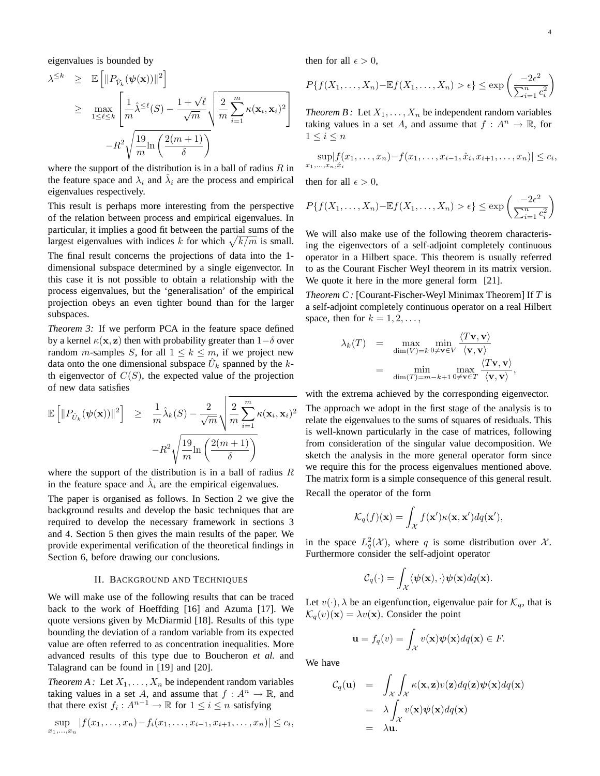eigenvalues is bounded by h

$$
\lambda^{\leq k} \geq \mathbb{E}\left[\|P_{\hat{V}_k}(\psi(\mathbf{x}))\|^2\right]
$$
\n
$$
\geq \max_{1 \leq \ell \leq k} \left[\frac{1}{m}\hat{\lambda}^{\leq \ell}(S) - \frac{1+\sqrt{\ell}}{\sqrt{m}}\sqrt{\frac{2}{m}\sum_{i=1}^m \kappa(\mathbf{x}_i, \mathbf{x}_i)^2}\right]
$$
\n
$$
-R^2 \sqrt{\frac{19}{m}\ln\left(\frac{2(m+1)}{\delta}\right)}
$$

where the support of the distribution is in a ball of radius  $R$  in the feature space and  $\lambda_i$  and  $\hat{\lambda}_i$  are the process and empirical eigenvalues respectively.

This result is perhaps more interesting from the perspective of the relation between process and empirical eigenvalues. In particular, it implies a good fit between the partial sums of the particular, it implies a good fit between the partial sums of the largest eigenvalues with indices k for which  $\sqrt{k/m}$  is small. The final result concerns the projections of data into the 1 dimensional subspace determined by a single eigenvector. In this case it is not possible to obtain a relationship with the process eigenvalues, but the 'generalisation' of the empirical projection obeys an even tighter bound than for the larger subspaces.

*Theorem 3:* If we perform PCA in the feature space defined by a kernel  $\kappa(\mathbf{x}, \mathbf{z})$  then with probability greater than  $1-\delta$  over random *m*-samples *S*, for all  $1 \leq k \leq m$ , if we project new data onto the one dimensional subspace  $\hat{U}_k$  spanned by the kth eigenvector of  $C(S)$ , the expected value of the projection of new data satisfies

$$
\mathbb{E}\left[\|P_{\hat{U}_k}(\psi(\mathbf{x}))\|^2\right] \geq \frac{1}{m}\hat{\lambda}_k(S) - \frac{2}{\sqrt{m}}\sqrt{\frac{2}{m}\sum_{i=1}^m \kappa(\mathbf{x}_i, \mathbf{x}_i)^2}
$$

$$
-R^2\sqrt{\frac{19}{m}\ln\left(\frac{2(m+1)}{\delta}\right)}
$$

where the support of the distribution is in a ball of radius  $R$ in the feature space and  $\hat{\lambda}_i$  are the empirical eigenvalues.

The paper is organised as follows. In Section 2 we give the background results and develop the basic techniques that are required to develop the necessary framework in sections 3 and 4. Section 5 then gives the main results of the paper. We provide experimental verification of the theoretical findings in Section 6, before drawing our conclusions.

#### II. BACKGROUND AND TECHNIQUES

We will make use of the following results that can be traced back to the work of Hoeffding [16] and Azuma [17]. We quote versions given by McDiarmid [18]. Results of this type bounding the deviation of a random variable from its expected value are often referred to as concentration inequalities. More advanced results of this type due to Boucheron *et al.* and Talagrand can be found in [19] and [20].

*Theorem A :* Let  $X_1, \ldots, X_n$  be independent random variables taking values in a set A, and assume that  $f: A^n \to \mathbb{R}$ , and that there exist  $f_i: A^{n-1} \to \mathbb{R}$  for  $1 \leq i \leq n$  satisfying

 $\sup \, |f(x_1,\ldots,x_n)-f_i(x_1,\ldots,x_{i-1},x_{i+1},\ldots,x_n)| \leq c_i,$  $x_1,\ldots,x_n$ 

then for all  $\epsilon > 0$ ,

$$
P\{f(X_1,\ldots,X_n) - \mathbb{E}f(X_1,\ldots,X_n) > \epsilon\} \le \exp\left(\frac{-2\epsilon^2}{\sum_{i=1}^n c_i^2}\right)
$$

*Theorem B* : Let  $X_1, \ldots, X_n$  be independent random variables taking values in a set A, and assume that  $f : A^n \to \mathbb{R}$ , for  $1 \leq i \leq n$ 

$$
\sup_{x_1,\ldots,x_n,\hat{x}_i} |f(x_1,\ldots,x_n) - f(x_1,\ldots,x_{i-1},\hat{x}_i,x_{i+1},\ldots,x_n)| \leq c_i,
$$

then for all  $\epsilon > 0$ ,

$$
P\{f(X_1,\ldots,X_n) - \mathbb{E}f(X_1,\ldots,X_n) > \epsilon\} \le \exp\left(\frac{-2\epsilon^2}{\sum_{i=1}^n c_i^2}\right)
$$

We will also make use of the following theorem characterising the eigenvectors of a self-adjoint completely continuous operator in a Hilbert space. This theorem is usually referred to as the Courant Fischer Weyl theorem in its matrix version. We quote it here in the more general form [21].

*Theorem C :* [Courant-Fischer-Weyl Minimax Theorem] If T is a self-adjoint completely continuous operator on a real Hilbert space, then for  $k = 1, 2, \ldots$ ,

$$
\lambda_k(T) = \max_{\dim(V)=k} \min_{0 \neq \mathbf{v} \in V} \frac{\langle T\mathbf{v}, \mathbf{v} \rangle}{\langle \mathbf{v}, \mathbf{v} \rangle}
$$
  
= 
$$
\min_{\dim(T)=m-k+1} \max_{0 \neq \mathbf{v} \in T} \frac{\langle T\mathbf{v}, \mathbf{v} \rangle}{\langle \mathbf{v}, \mathbf{v} \rangle},
$$

with the extrema achieved by the corresponding eigenvector.

The approach we adopt in the first stage of the analysis is to relate the eigenvalues to the sums of squares of residuals. This is well-known particularly in the case of matrices, following from consideration of the singular value decomposition. We sketch the analysis in the more general operator form since we require this for the process eigenvalues mentioned above. The matrix form is a simple consequence of this general result. Recall the operator of the form

$$
\mathcal{K}_q(f)(\mathbf{x}) = \int_{\mathcal{X}} f(\mathbf{x}') \kappa(\mathbf{x}, \mathbf{x}') dq(\mathbf{x}'),
$$

in the space  $L_q^2(\mathcal{X})$ , where q is some distribution over  $\mathcal{X}$ . Furthermore consider the self-adjoint operator

$$
\mathcal{C}_q(\cdot) = \int_{\mathcal{X}} \langle \psi(\mathbf{x}), \cdot \rangle \psi(\mathbf{x}) dq(\mathbf{x}).
$$

Let  $v(\cdot)$ ,  $\lambda$  be an eigenfunction, eigenvalue pair for  $\mathcal{K}_q$ , that is  $\mathcal{K}_q(v)(\mathbf{x}) = \lambda v(\mathbf{x})$ . Consider the point

$$
\mathbf{u} = f_q(v) = \int_{\mathcal{X}} v(\mathbf{x}) \psi(\mathbf{x}) dq(\mathbf{x}) \in F.
$$

We have

$$
C_q(\mathbf{u}) = \int_{\mathcal{X}} \int_{\mathcal{X}} \kappa(\mathbf{x}, \mathbf{z}) v(\mathbf{z}) dq(\mathbf{z}) \psi(\mathbf{x}) dq(\mathbf{x})
$$
  
=  $\lambda \int_{\mathcal{X}} v(\mathbf{x}) \psi(\mathbf{x}) dq(\mathbf{x})$   
=  $\lambda \mathbf{u}.$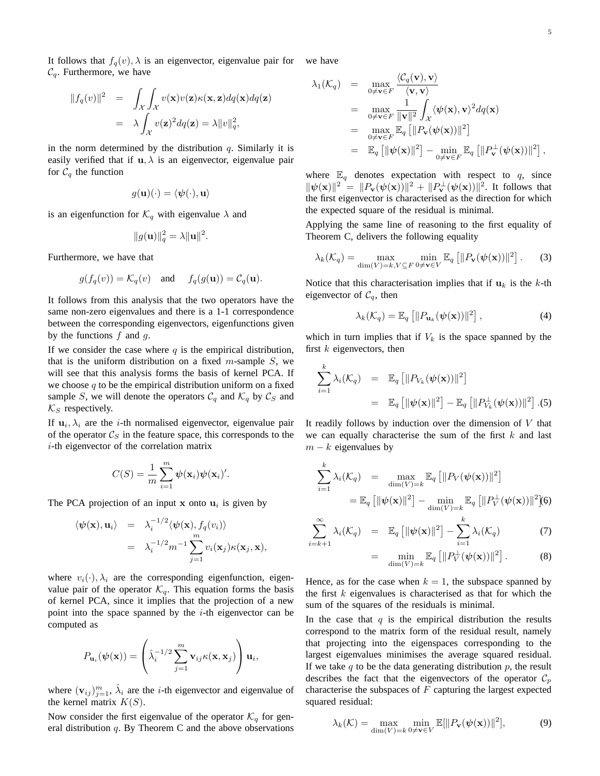It follows that  $f_q(v)$ ,  $\lambda$  is an eigenvector, eigenvalue pair for  $\mathcal{C}_q$ . Furthermore, we have we have

$$
||f_q(v)||^2 = \int_{\mathcal{X}} \int_{\mathcal{X}} v(\mathbf{x}) v(\mathbf{z}) \kappa(\mathbf{x}, \mathbf{z}) dq(\mathbf{x}) dq(\mathbf{z})
$$
  
=  $\lambda \int_{\mathcal{X}} v(\mathbf{z})^2 dq(\mathbf{z}) = \lambda ||v||_q^2$ ,

in the norm determined by the distribution  $q$ . Similarly it is easily verified that if  $\mathbf{u}, \lambda$  is an eigenvector, eigenvalue pair for  $C_q$  the function

$$
g(\mathbf{u})(\cdot) = \langle \boldsymbol{\psi}(\cdot), \mathbf{u} \rangle
$$

is an eigenfunction for  $\mathcal{K}_q$  with eigenvalue  $\lambda$  and

$$
||g(\mathbf{u})||_q^2 = \lambda ||\mathbf{u}||^2.
$$

Furthermore, we have that

$$
g(f_q(v)) = \mathcal{K}_q(v)
$$
 and  $f_q(g(\mathbf{u})) = \mathcal{C}_q(\mathbf{u}).$ 

It follows from this analysis that the two operators have the same non-zero eigenvalues and there is a 1-1 correspondence between the corresponding eigenvectors, eigenfunctions given by the functions  $f$  and  $g$ .

If we consider the case where  $q$  is the empirical distribution, that is the uniform distribution on a fixed  $m$ -sample  $S$ , we will see that this analysis forms the basis of kernel PCA. If we choose  $q$  to be the empirical distribution uniform on a fixed sample S, we will denote the operators  $C_q$  and  $K_q$  by  $C_S$  and  $\mathcal{K}_S$  respectively.

If  $\mathbf{u}_i, \lambda_i$  are the *i*-th normalised eigenvector, eigenvalue pair of the operator  $C_S$  in the feature space, this corresponds to the i-th eigenvector of the correlation matrix

$$
C(S) = \frac{1}{m} \sum_{i=1}^{m} \psi(\mathbf{x}_i) \psi(\mathbf{x}_i)'.
$$

The PCA projection of an input  $x$  onto  $u_i$  is given by

$$
\langle \psi(\mathbf{x}), \mathbf{u}_i \rangle = \lambda_i^{-1/2} \langle \psi(\mathbf{x}), f_q(v_i) \rangle
$$
  
=  $\lambda_i^{-1/2} m^{-1} \sum_{j=1}^m v_i(\mathbf{x}_j) \kappa(\mathbf{x}_j, \mathbf{x}),$ 

where  $v_i(\cdot), \lambda_i$  are the corresponding eigenfunction, eigenvalue pair of the operator  $\mathcal{K}_q$ . This equation forms the basis of kernel PCA, since it implies that the projection of a new point into the space spanned by the  $i$ -th eigenvector can be computed as

$$
P_{\mathbf{u}_i}(\boldsymbol{\psi}(\mathbf{x})) = \left(\hat{\lambda}_i^{-1/2} \sum_{j=1}^m \mathbf{v}_{ij} \kappa(\mathbf{x}, \mathbf{x}_j)\right) \mathbf{u}_i,
$$

where  $(\mathbf{v}_{ij})_{j=1}^m$ ,  $\hat{\lambda}_i$  are the *i*-th eigenvector and eigenvalue of the kernel matrix  $K(S)$ .

Now consider the first eigenvalue of the operator  $\mathcal{K}_q$  for general distribution  $q$ . By Theorem C and the above observations

$$
\lambda_1(\mathcal{K}_q) = \max_{0 \neq \mathbf{v} \in F} \frac{\langle C_q(\mathbf{v}), \mathbf{v} \rangle}{\langle \mathbf{v}, \mathbf{v} \rangle}
$$
  
\n
$$
= \max_{0 \neq \mathbf{v} \in F} \frac{1}{\|\mathbf{v}\|^2} \int_{\mathcal{X}} \langle \psi(\mathbf{x}), \mathbf{v} \rangle^2 dq(\mathbf{x})
$$
  
\n
$$
= \max_{0 \neq \mathbf{v} \in F} \mathbb{E}_q \left[ \| P_{\mathbf{v}}(\psi(\mathbf{x})) \|^2 \right]
$$
  
\n
$$
= \mathbb{E}_q \left[ \| \psi(\mathbf{x}) \|^2 \right] - \min_{0 \neq \mathbf{v} \in F} \mathbb{E}_q \left[ \| P_{\mathbf{v}}^{\perp}(\psi(\mathbf{x})) \|^2 \right],
$$

where  $\mathbb{E}_q$  denotes expectation with respect to q, since  $\|\psi(\mathbf{x})\|^2 = \|P_{\mathbf{v}}(\psi(\mathbf{x}))\|^2 + \|P_{\mathbf{v}}^{\perp}(\psi(\mathbf{x}))\|^2$ . It follows that the first eigenvector is characterised as the direction for which the expected square of the residual is minimal.

Applying the same line of reasoning to the first equality of Theorem C, delivers the following equality

$$
\lambda_k(\mathcal{K}_q) = \max_{\dim(V)=k, V \subseteq F} \min_{0 \neq \mathbf{v} \in V} \mathbb{E}_q \left[ ||P_{\mathbf{v}}(\boldsymbol{\psi}(\mathbf{x}))||^2 \right]. \tag{3}
$$

Notice that this characterisation implies that if  $u_k$  is the k-th eigenvector of  $C_q$ , then

$$
\lambda_k(\mathcal{K}_q) = \mathbb{E}_q \left[ \| P_{\mathbf{u}_k}(\boldsymbol{\psi}(\mathbf{x})) \|^2 \right], \tag{4}
$$

which in turn implies that if  $V_k$  is the space spanned by the first  $k$  eigenvectors, then

$$
\sum_{i=1}^{k} \lambda_i(\mathcal{K}_q) = \mathbb{E}_q \left[ ||P_{V_k}(\boldsymbol{\psi}(\mathbf{x}))||^2 \right]
$$
  

$$
= \mathbb{E}_q \left[ ||\boldsymbol{\psi}(\mathbf{x})||^2 \right] - \mathbb{E}_q \left[ ||P_{V_k}^{\perp}(\boldsymbol{\psi}(\mathbf{x}))||^2 \right]. (5)
$$

It readily follows by induction over the dimension of  $V$  that we can equally characterise the sum of the first  $k$  and last  $m - k$  eigenvalues by

$$
\sum_{i=1}^{k} \lambda_i(\mathcal{K}_q) = \max_{\dim(V)=k} \mathbb{E}_q \left[ \| P_V(\boldsymbol{\psi}(\mathbf{x})) \|^2 \right]
$$

$$
= \mathbb{E}_q \left[ \| \boldsymbol{\psi}(\mathbf{x}) \|^2 \right] - \min_{\dim(V)=k} \mathbb{E}_q \left[ \| P_V^{\perp}(\boldsymbol{\psi}(\mathbf{x})) \|^2 \right] \tag{6}
$$

$$
\sum_{i=k+1}^{\infty} \lambda_i(\mathcal{K}_q) = \mathbb{E}_q \left[ \|\psi(\mathbf{x})\|^2 \right] - \sum_{i=1}^{k} \lambda_i(\mathcal{K}_q) \tag{7}
$$

$$
= \min_{\dim(V)=k} \mathbb{E}_q \left[ \| P_V^{\perp}(\boldsymbol{\psi}(\mathbf{x})) \|^2 \right]. \tag{8}
$$

Hence, as for the case when  $k = 1$ , the subspace spanned by the first  $k$  eigenvalues is characterised as that for which the sum of the squares of the residuals is minimal.

In the case that  $q$  is the empirical distribution the results correspond to the matrix form of the residual result, namely that projecting into the eigenspaces corresponding to the largest eigenvalues minimises the average squared residual. If we take  $q$  to be the data generating distribution  $p$ , the result describes the fact that the eigenvectors of the operator  $\mathcal{C}_p$ characterise the subspaces of  $F$  capturing the largest expected squared residual:

$$
\lambda_k(\mathcal{K}) = \max_{\dim(V)=k} \min_{0 \neq \mathbf{v} \in V} \mathbb{E}[\|P_\mathbf{v}(\boldsymbol{\psi}(\mathbf{x}))\|^2],\tag{9}
$$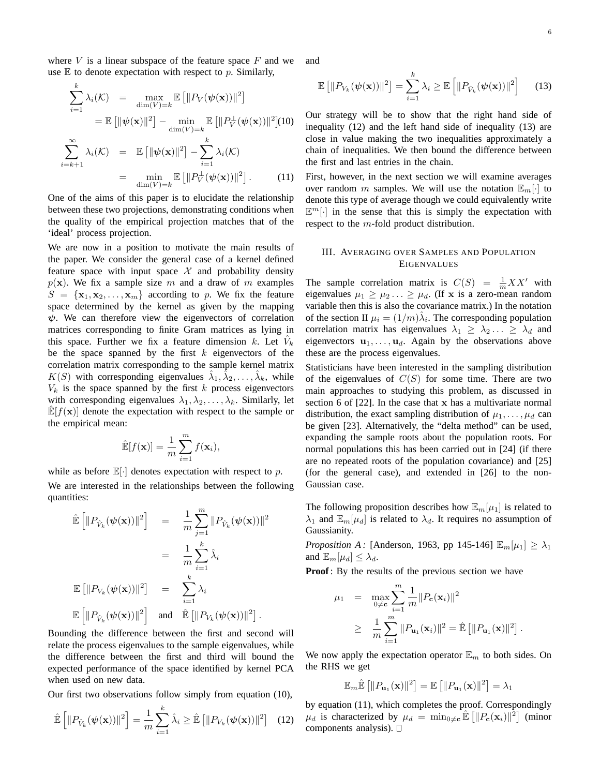where  $V$  is a linear subspace of the feature space  $F$  and we use  $E$  to denote expectation with respect to p. Similarly,

$$
\sum_{i=1}^{k} \lambda_i(\mathcal{K}) = \max_{\dim(V)=k} \mathbb{E}\left[\|P_V(\boldsymbol{\psi}(\mathbf{x}))\|^2\right]
$$

$$
= \mathbb{E}\left[\|\boldsymbol{\psi}(\mathbf{x})\|^2\right] - \min_{\dim(V)=k} \mathbb{E}\left[\|P_V(\boldsymbol{\psi}(\mathbf{x}))\|^2\right] (10)
$$

$$
\sum_{i=k+1}^{\infty} \lambda_i(\mathcal{K}) = \mathbb{E}\left[\|\boldsymbol{\psi}(\mathbf{x})\|^2\right] - \sum_{i=1}^{k} \lambda_i(\mathcal{K})
$$

$$
= \min_{\dim(V)=k} \mathbb{E}\left[\|P_V^{\perp}(\boldsymbol{\psi}(\mathbf{x}))\|^2\right].
$$
 (11)

One of the aims of this paper is to elucidate the relationship between these two projections, demonstrating conditions when the quality of the empirical projection matches that of the 'ideal' process projection.

We are now in a position to motivate the main results of the paper. We consider the general case of a kernel defined feature space with input space  $\mathcal X$  and probability density  $p(x)$ . We fix a sample size m and a draw of m examples  $S = {\mathbf{x}_1, \mathbf{x}_2, \dots, \mathbf{x}_m}$  according to p. We fix the feature space determined by the kernel as given by the mapping  $\psi$ . We can therefore view the eigenvectors of correlation matrices corresponding to finite Gram matrices as lying in this space. Further we fix a feature dimension k. Let  $V_k$ be the space spanned by the first  $k$  eigenvectors of the correlation matrix corresponding to the sample kernel matrix  $K(S)$  with corresponding eigenvalues  $\hat{\lambda}_1, \hat{\lambda}_2, \dots, \hat{\lambda}_k$ , while  $V_k$  is the space spanned by the first k process eigenvectors with corresponding eigenvalues  $\lambda_1, \lambda_2, \ldots, \lambda_k$ . Similarly, let  $\mathbb{E}[f(\mathbf{x})]$  denote the expectation with respect to the sample or the empirical mean:

$$
\mathbb{E}[f(\mathbf{x})] = \frac{1}{m} \sum_{i=1}^{m} f(\mathbf{x}_i),
$$

while as before  $\mathbb{E}[\cdot]$  denotes expectation with respect to p. We are interested in the relationships between the following quantities:

$$
\hat{\mathbb{E}}\left[\|P_{\hat{V}_k}(\psi(\mathbf{x}))\|^2\right] = \frac{1}{m} \sum_{j=1}^m \|P_{\hat{V}_k}(\psi(\mathbf{x}))\|^2
$$
  
\n
$$
= \frac{1}{m} \sum_{i=1}^k \hat{\lambda}_i
$$
  
\n
$$
\mathbb{E}\left[\|P_{V_k}(\psi(\mathbf{x}))\|^2\right] = \sum_{i=1}^k \lambda_i
$$
  
\n
$$
\mathbb{E}\left[\|P_{\hat{V}_k}(\psi(\mathbf{x}))\|^2\right] \text{ and } \hat{\mathbb{E}}\left[\|P_{V_k}(\psi(\mathbf{x}))\|^2\right].
$$

Bounding the difference between the first and second will relate the process eigenvalues to the sample eigenvalues, while the difference between the first and third will bound the expected performance of the space identified by kernel PCA when used on new data.

Our first two observations follow simply from equation (10),

$$
\hat{\mathbb{E}}\left[\|P_{\hat{V}_k}(\boldsymbol{\psi}(\mathbf{x}))\|^2\right] = \frac{1}{m} \sum_{i=1}^k \hat{\lambda}_i \ge \hat{\mathbb{E}}\left[\|P_{V_k}(\boldsymbol{\psi}(\mathbf{x}))\|^2\right] \tag{12}
$$

and

$$
\mathbb{E}\left[\|P_{V_k}(\boldsymbol{\psi}(\mathbf{x}))\|^2\right] = \sum_{i=1}^k \lambda_i \ge \mathbb{E}\left[\|P_{\hat{V}_k}(\boldsymbol{\psi}(\mathbf{x}))\|^2\right] \qquad (13)
$$

Our strategy will be to show that the right hand side of inequality (12) and the left hand side of inequality (13) are close in value making the two inequalities approximately a chain of inequalities. We then bound the difference between the first and last entries in the chain.

First, however, in the next section we will examine averages over random m samples. We will use the notation  $\mathbb{E}_{m}[\cdot]$  to denote this type of average though we could equivalently write  $\mathbb{E}^m[\cdot]$  in the sense that this is simply the expectation with respect to the m-fold product distribution.

# III. AVERAGING OVER SAMPLES AND POPULATION EIGENVALUES

The sample correlation matrix is  $C(S) = \frac{1}{m} XX'$  with eigenvalues  $\mu_1 \geq \mu_2 ... \geq \mu_d$ . (If **x** is a zero-mean random variable then this is also the covariance matrix.) In the notation of the section II  $\mu_i = (1/m)\hat{\lambda}_i$ . The corresponding population correlation matrix has eigenvalues  $\lambda_1 \geq \lambda_2 ... \geq \lambda_d$  and eigenvectors  $\mathbf{u}_1, \dots, \mathbf{u}_d$ . Again by the observations above these are the process eigenvalues.

Statisticians have been interested in the sampling distribution of the eigenvalues of  $C(S)$  for some time. There are two main approaches to studying this problem, as discussed in section 6 of  $[22]$ . In the case that x has a multivariate normal distribution, the exact sampling distribution of  $\mu_1, \ldots, \mu_d$  can be given [23]. Alternatively, the "delta method" can be used, expanding the sample roots about the population roots. For normal populations this has been carried out in [24] (if there are no repeated roots of the population covariance) and [25] (for the general case), and extended in [26] to the non-Gaussian case.

The following proposition describes how  $\mathbb{E}_{m}[\mu_1]$  is related to  $\lambda_1$  and  $\mathbb{E}_{m}[\mu_d]$  is related to  $\lambda_d$ . It requires no assumption of Gaussianity.

*Proposition A:* [Anderson, 1963, pp 145-146]  $\mathbb{E}_{m}[\mu_1] \geq \lambda_1$ and  $\mathbb{E}_{m}[\mu_d] \leq \lambda_d$ .

**Proof**: By the results of the previous section we have

$$
\mu_1 = \max_{0 \neq \mathbf{c}} \sum_{i=1}^m \frac{1}{m} ||P_{\mathbf{c}}(\mathbf{x}_i)||^2
$$
  
 
$$
\geq \frac{1}{m} \sum_{i=1}^m ||P_{\mathbf{u}_1}(\mathbf{x}_i)||^2 = \hat{\mathbb{E}} [||P_{\mathbf{u}_1}(\mathbf{x})||^2].
$$

We now apply the expectation operator  $\mathbb{E}_m$  to both sides. On the RHS we get

$$
\mathbb{E}_m \hat{\mathbb{E}}\left[\|P_{\mathbf{u}_1}(\mathbf{x})\|^2\right] = \mathbb{E}\left[\|P_{\mathbf{u}_1}(\mathbf{x})\|^2\right] = \lambda_1
$$

by equation (11), which completes the proof. Correspondingly  $\mu_d$  is characterized by  $\mu_d = \min_{0 \neq c} \mathbb{E} \left[ ||P_c(\mathbf{x}_i)||^2 \right]$  (minor components analysis).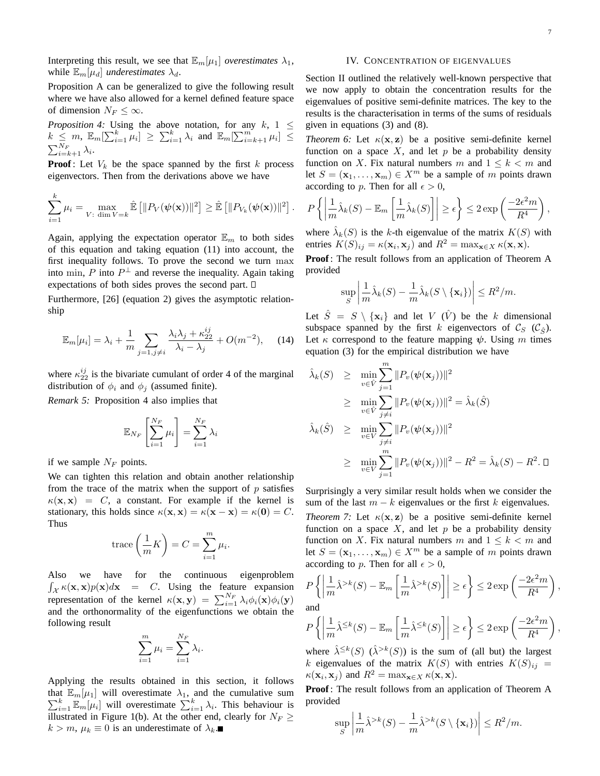Interpreting this result, we see that  $\mathbb{E}_{m}[\mu_1]$  *overestimates*  $\lambda_1$ , while  $\mathbb{E}_{m}[\mu_d]$  *underestimates*  $\lambda_d$ .

Proposition A can be generalized to give the following result where we have also allowed for a kernel defined feature space of dimension  $N_F \leq \infty$ .

*Proposition 4:* Using the above notation, for any  $k$ ,  $1 \leq$ *Froposition 4:* Using the above hotation, for any  $\kappa$ ,  $1 \leq k \leq m$ ,  $\mathbb{E}_m[\sum_{i=1}^k \mu_i] \geq \sum_{i=1}^k \lambda_i$  and  $\mathbb{E}_m[\sum_{i=k+1}^m \mu_i] \leq$  $\sum_{i=k+1}^{N_F} \lambda_i.$ 

**Proof**: Let  $V_k$  be the space spanned by the first k process eigenvectors. Then from the derivations above we have

$$
\sum_{i=1}^k \mu_i = \max_{V: \dim V = k} \hat{\mathbb{E}} \left[ ||P_V(\boldsymbol{\psi}(\mathbf{x}))||^2 \right] \geq \hat{\mathbb{E}} \left[ ||P_{V_k}(\boldsymbol{\psi}(\mathbf{x}))||^2 \right].
$$

Again, applying the expectation operator  $\mathbb{E}_m$  to both sides of this equation and taking equation (11) into account, the first inequality follows. To prove the second we turn max into min, P into  $P^{\perp}$  and reverse the inequality. Again taking expectations of both sides proves the second part.

Furthermore, [26] (equation 2) gives the asymptotic relationship

$$
\mathbb{E}_m[\mu_i] = \lambda_i + \frac{1}{m} \sum_{j=1, j \neq i} \frac{\lambda_i \lambda_j + \kappa_{22}^{ij}}{\lambda_i - \lambda_j} + O(m^{-2}), \quad (14)
$$

where  $\kappa_{22}^{ij}$  is the bivariate cumulant of order 4 of the marginal distribution of  $\phi_i$  and  $\phi_j$  (assumed finite).

*Remark 5:* Proposition 4 also implies that

$$
\mathbb{E}_{N_F} \left[ \sum_{i=1}^{N_F} \mu_i \right] = \sum_{i=1}^{N_F} \lambda_i
$$

if we sample  $N_F$  points.

We can tighten this relation and obtain another relationship from the trace of the matrix when the support of  $p$  satisfies  $\kappa(\mathbf{x}, \mathbf{x}) = C$ , a constant. For example if the kernel is stationary, this holds since  $\kappa(\mathbf{x}, \mathbf{x}) = \kappa(\mathbf{x} - \mathbf{x}) = \kappa(\mathbf{0}) = C$ . Thus

trace 
$$
\left(\frac{1}{m}K\right) = C = \sum_{i=1}^{m} \mu_i
$$
.

Also we have for the continuous eigenproblem R  $\int_{\mathcal{X}} \kappa(\mathbf{x}, \mathbf{x}) p(\mathbf{x}) d\mathbf{x} = C$ . Using the feature expansion  $f_X \kappa(x, x) p(x) dx = 0$ . Using the reality expansion<br>representation of the kernel  $\kappa(x, y) = \sum_{i=1}^{N_F} \lambda_i \phi_i(x) \phi_i(y)$ and the orthonormality of the eigenfunctions we obtain the following result

$$
\sum_{i=1}^{m} \mu_i = \sum_{i=1}^{N_F} \lambda_i.
$$

Applying the results obtained in this section, it follows that  $\mathbb{E}_{m}[\mu_1]$  will overestimate  $\lambda_1$ , and the cumulative sum  $\sum_{i=1}^{k} \mathbb{E}_{m}[\mu_i]$  will overestimate  $\sum_{i=1}^{k} \lambda_i$ . This behaviour is illustrated in Figure 1(b). At the other end, clearly for  $N_F \geq$  $k > m$ ,  $\mu_k \equiv 0$  is an underestimate of  $\lambda_k$ .

#### IV. CONCENTRATION OF EIGENVALUES

Section II outlined the relatively well-known perspective that we now apply to obtain the concentration results for the eigenvalues of positive semi-definite matrices. The key to the results is the characterisation in terms of the sums of residuals given in equations (3) and (8).

*Theorem 6:* Let  $\kappa(\mathbf{x}, \mathbf{z})$  be a positive semi-definite kernel function on a space  $X$ , and let  $p$  be a probability density function on X. Fix natural numbers m and  $1 \leq k \leq m$  and let  $S = (\mathbf{x}_1, \dots, \mathbf{x}_m) \in X^m$  be a sample of m points drawn according to p. Then for all  $\epsilon > 0$ ,

$$
P\left\{\left|\frac{1}{m}\hat{\lambda}_k(S) - \mathbb{E}_m\left[\frac{1}{m}\hat{\lambda}_k(S)\right]\right| \ge \epsilon\right\} \le 2\exp\left(\frac{-2\epsilon^2 m}{R^4}\right),
$$

where  $\hat{\lambda}_k(S)$  is the k-th eigenvalue of the matrix  $K(S)$  with entries  $K(S)_{ij} = \kappa(\mathbf{x}_i, \mathbf{x}_j)$  and  $R^2 = \max_{\mathbf{x} \in X} \kappa(\mathbf{x}, \mathbf{x})$ .

**Proof**: The result follows from an application of Theorem A provided  $\overline{a}$  $\overline{a}$ 

$$
\sup_{S} \left| \frac{1}{m} \hat{\lambda}_{k}(S) - \frac{1}{m} \hat{\lambda}_{k}(S \setminus \{\mathbf{x}_{i}\}) \right| \leq R^{2}/m.
$$

Let  $\hat{S} = S \setminus \{x_i\}$  and let V  $(\hat{V})$  be the k dimensional subspace spanned by the first k eigenvectors of  $\mathcal{C}_S$  ( $\mathcal{C}_{\hat{S}}$ ). Let  $\kappa$  correspond to the feature mapping  $\psi$ . Using m times equation (3) for the empirical distribution we have

$$
\hat{\lambda}_k(S) \geq \min_{v \in \hat{V}} \sum_{j=1}^m \|P_v(\psi(\mathbf{x}_j))\|^2
$$
\n
$$
\geq \min_{v \in \hat{V}} \sum_{j \neq i} \|P_v(\psi(\mathbf{x}_j))\|^2 = \hat{\lambda}_k(\hat{S})
$$
\n
$$
\hat{\lambda}_k(\hat{S}) \geq \min_{v \in V} \sum_{j \neq i} \|P_v(\psi(\mathbf{x}_j))\|^2
$$
\n
$$
\geq \min_{v \in V} \sum_{j=1}^m \|P_v(\psi(\mathbf{x}_j))\|^2 - R^2 = \hat{\lambda}_k(S) - R^2. \Box
$$

Surprisingly a very similar result holds when we consider the sum of the last  $m - k$  eigenvalues or the first k eigenvalues.

*Theorem 7:* Let  $\kappa(\mathbf{x}, \mathbf{z})$  be a positive semi-definite kernel function on a space  $X$ , and let  $p$  be a probability density function on X. Fix natural numbers m and  $1 \leq k \leq m$  and let  $S = (\mathbf{x}_1, \dots, \mathbf{x}_m) \in X^m$  be a sample of m points drawn according to p. Then for all  $\epsilon > 0$ ,

$$
P\left\{ \left| \frac{1}{m} \hat{\lambda}^{>k}(S) - \mathbb{E}_m \left[ \frac{1}{m} \hat{\lambda}^{>k}(S) \right] \right| \ge \epsilon \right\} \le 2 \exp\left(\frac{-2\epsilon^2 m}{R^4}\right),
$$
  
and

 $\frac{u}{\epsilon}$ 

and  

$$
P\left\{\left|\frac{1}{m}\hat{\lambda}^{\leq k}(S)-\mathbb{E}_m\left[\frac{1}{m}\hat{\lambda}^{\leq k}(S)\right]\right|\geq \epsilon\right\} \leq 2\exp\left(\frac{-2\epsilon^2m}{R^4}\right),
$$

where  $\hat{\lambda}^{\leq k}(S)$   $(\hat{\lambda}^{>k}(S))$  is the sum of (all but) the largest k eigenvalues of the matrix  $K(S)$  with entries  $K(S)_{ii} =$  $\kappa(\mathbf{x}_i, \mathbf{x}_j)$  and  $R^2 = \max_{\mathbf{x} \in X} \kappa(\mathbf{x}, \mathbf{x})$ .

**Proof**: The result follows from an application of Theorem A provided  $\overline{a}$ ¯

$$
\sup_{S} \left| \frac{1}{m} \hat{\lambda}^{>k}(S) - \frac{1}{m} \hat{\lambda}^{>k}(S \setminus \{\mathbf{x}_i\}) \right| \leq R^2/m.
$$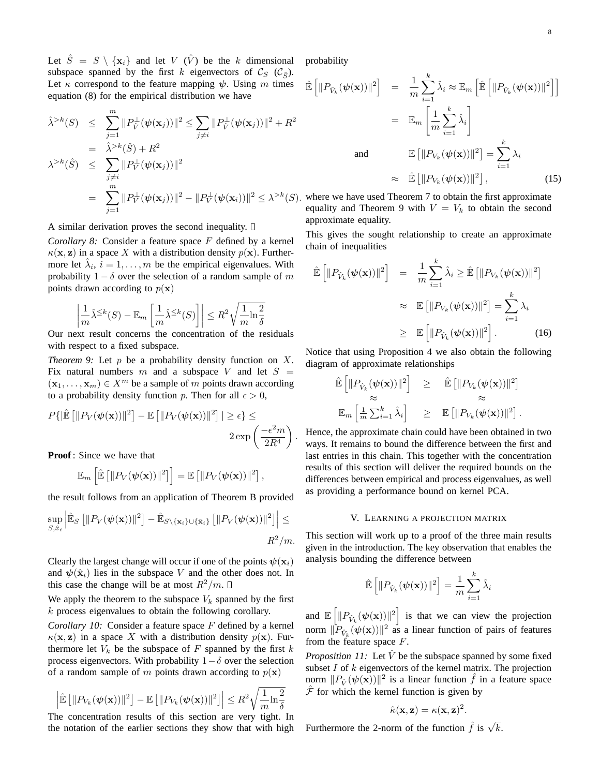Let  $\hat{S} = S \setminus \{\mathbf{x}_i\}$  and let V  $(\hat{V})$  be the k dimensional subspace spanned by the first k eigenvectors of  $\mathcal{C}_S$  ( $\mathcal{C}_{\hat{S}}$ ). Let  $\kappa$  correspond to the feature mapping  $\psi$ . Using m times equation (8) for the empirical distribution we have

$$
\hat{\lambda}^{>k}(S) \leq \sum_{j=1}^{m} ||P_{\hat{V}}^{\perp}(\psi(\mathbf{x}_j))||^2 \leq \sum_{j \neq i} ||P_{\hat{V}}^{\perp}(\psi(\mathbf{x}_j))||^2 + R^2
$$
  
\n
$$
= \hat{\lambda}^{>k}(\hat{S}) + R^2
$$
  
\n
$$
\lambda^{>k}(\hat{S}) \leq \sum_{j \neq i} ||P_{V}^{\perp}(\psi(\mathbf{x}_j))||^2
$$
  
\n
$$
= \sum_{j=1}^{m} ||P_{V}^{\perp}(\psi(\mathbf{x}_j))||^2 - ||P_{V}^{\perp}(\psi(\mathbf{x}_i))||^2 \leq \lambda^{>k}(S).
$$

A similar derivation proves the second inequality.  $\square$ 

*Corollary 8:* Consider a feature space F defined by a kernel  $\kappa(\mathbf{x}, \mathbf{z})$  in a space X with a distribution density  $p(\mathbf{x})$ . Furthermore let  $\hat{\lambda}_i$ ,  $i = 1, ..., m$  be the empirical eigenvalues. With probability  $1 - \delta$  over the selection of a random sample of m points drawn according to  $p(\mathbf{x})$ 

$$
\left|\frac{1}{m}\hat{\lambda}^{\leq k}(S)-\mathbb{E}_m\left[\frac{1}{m}\hat{\lambda}^{\leq k}(S)\right]\right|\leq R^2\sqrt{\frac{1}{m}\text{ln}\frac{2}{\delta}}
$$

Our next result concerns the concentration of the residuals with respect to a fixed subspace.

*Theorem 9:* Let  $p$  be a probability density function on  $X$ . Fix natural numbers m and a subspace V and let  $S =$  $(\mathbf{x}_1, \dots, \mathbf{x}_m) \in X^m$  be a sample of m points drawn according to a probability density function p. Then for all  $\epsilon > 0$ ,

$$
P\{\|\hat{\mathbb{E}}\left[\|P_V(\boldsymbol{\psi}(\mathbf{x}))\|^2\right] - \mathbb{E}\left[\|P_V(\boldsymbol{\psi}(\mathbf{x}))\|^2\right] | \geq \epsilon\} \leq
$$
  
 
$$
2 \exp\left(\frac{-\epsilon^2 m}{2R^4}\right).
$$

**Proof**: Since we have that

$$
\mathbb{E}_m\left[\mathbb{\hat{E}}\left[\|P_V(\boldsymbol{\psi}(\mathbf{x}))\|^2\right]\right] = \mathbb{E}\left[\|P_V(\boldsymbol{\psi}(\mathbf{x}))\|^2\right],
$$

the result follows from an application of Theorem B provided

$$
\sup_{S,\hat{x}_i} \left| \hat{\mathbb{E}}_S \left[ \| P_V(\boldsymbol{\psi}(\mathbf{x})) \|^2 \right] - \hat{\mathbb{E}}_{S \setminus \{\mathbf{x}_i\} \cup \{\hat{\mathbf{x}}_i\}} \left[ \| P_V(\boldsymbol{\psi}(\mathbf{x})) \|^2 \right] \right| \leq
$$
  

$$
R^2 / m.
$$

Clearly the largest change will occur if one of the points  $\psi(\mathbf{x}_i)$ and  $\psi(\hat{\mathbf{x}}_i)$  lies in the subspace V and the other does not. In this case the change will be at most  $R^2/m$ .  $\Box$ 

We apply the theorem to the subspace  $V_k$  spanned by the first k process eigenvalues to obtain the following corollary.

*Corollary 10:* Consider a feature space F defined by a kernel  $\kappa(\mathbf{x}, \mathbf{z})$  in a space X with a distribution density  $p(\mathbf{x})$ . Furthermore let  $V_k$  be the subspace of F spanned by the first k process eigenvectors. With probability  $1-\delta$  over the selection of a random sample of m points drawn according to  $p(x)$ 

$$
\left| \mathbb{\hat{E}} \left[ \| P_{V_k}(\psi(\mathbf{x})) \|^2 \right] - \mathbb{E} \left[ \| P_{V_k}(\psi(\mathbf{x})) \|^2 \right] \right| \leq R^2 \sqrt{\frac{1}{m} \ln \frac{2}{\delta}}
$$
\nthe concentration result of this section are very tight.

The concentration results of this section are very tight. In the notation of the earlier sections they show that with high probability

$$
\hat{\mathbb{E}}\left[\|P_{\hat{V}_k}(\boldsymbol{\psi}(\mathbf{x}))\|^2\right] = \frac{1}{m} \sum_{i=1}^k \hat{\lambda}_i \approx \mathbb{E}_m \left[\hat{\mathbb{E}}\left[\|P_{\hat{V}_k}(\boldsymbol{\psi}(\mathbf{x}))\|^2\right]\right]
$$

$$
= \mathbb{E}_m \left[\frac{1}{m} \sum_{i=1}^k \hat{\lambda}_i\right]
$$
  
and 
$$
\mathbb{E}\left[\|P_{V_k}(\boldsymbol{\psi}(\mathbf{x}))\|^2\right] = \sum_{i=1}^k \lambda_i
$$

$$
\approx \hat{\mathbb{E}}\left[\|P_{V_k}(\boldsymbol{\psi}(\mathbf{x}))\|^2\right],
$$
(15)

where we have used Theorem 7 to obtain the first approximate equality and Theorem 9 with  $V = V_k$  to obtain the second approximate equality.

This gives the sought relationship to create an approximate chain of inequalities

$$
\hat{\mathbb{E}}\left[\|P_{\hat{V}_k}(\boldsymbol{\psi}(\mathbf{x}))\|^2\right] = \frac{1}{m} \sum_{i=1}^k \hat{\lambda}_i \ge \hat{\mathbb{E}}\left[\|P_{V_k}(\boldsymbol{\psi}(\mathbf{x}))\|^2\right] \n\approx \mathbb{E}\left[\|P_{V_k}(\boldsymbol{\psi}(\mathbf{x}))\|^2\right] = \sum_{i=1}^k \lambda_i \n\ge \mathbb{E}\left[\|P_{\hat{V}_k}(\boldsymbol{\psi}(\mathbf{x}))\|^2\right].
$$
\n(16)

Notice that using Proposition 4 we also obtain the following diagram of approximate relationships h i

$$
\hat{\mathbb{E}}\left[\|P_{\hat{V}_k}(\boldsymbol{\psi}(\mathbf{x}))\|^2\right] \geq \hat{\mathbb{E}}\left[\|P_{V_k}(\boldsymbol{\psi}(\mathbf{x}))\|^2\right] \approx \approx \approx \approx \approx \approx \mathbb{E}\left[\|P_{V_k}(\boldsymbol{\psi}(\mathbf{x}))\|^2\right].
$$

Hence, the approximate chain could have been obtained in two ways. It remains to bound the difference between the first and last entries in this chain. This together with the concentration results of this section will deliver the required bounds on the differences between empirical and process eigenvalues, as well as providing a performance bound on kernel PCA.

## V. LEARNING A PROJECTION MATRIX

This section will work up to a proof of the three main results given in the introduction. The key observation that enables the analysis bounding the difference between

$$
\mathbb{\hat{E}}\left[\|P_{\hat{V}_k}(\boldsymbol{\psi}(\mathbf{x}))\|^2\right] = \frac{1}{m} \sum_{i=1}^k \hat{\lambda}_i
$$

and E h  $||P_{\hat{V}_k}(\boldsymbol{\psi}(\mathbf{x}))||^2$ is that we can view the projection norm  $\Vert \tilde{P}_{\hat{V}_k}(\psi(\mathbf{x})) \Vert^2$  as a linear function of pairs of features from the feature space  $F$ .

*Proposition 11:* Let  $\hat{V}$  be the subspace spanned by some fixed subset  $I$  of  $k$  eigenvectors of the kernel matrix. The projection norm  $||P_{\hat{V}}(\psi(\mathbf{x}))||^2$  is a linear function  $\hat{f}$  in a feature space  $\hat{\mathcal{F}}$  for which the kernel function is given by

$$
\hat{\kappa}(\mathbf{x}, \mathbf{z}) = \kappa(\mathbf{x}, \mathbf{z})^2.
$$

Furthermore the 2-norm of the function  $\hat{f}$  is  $\sqrt{k}$ .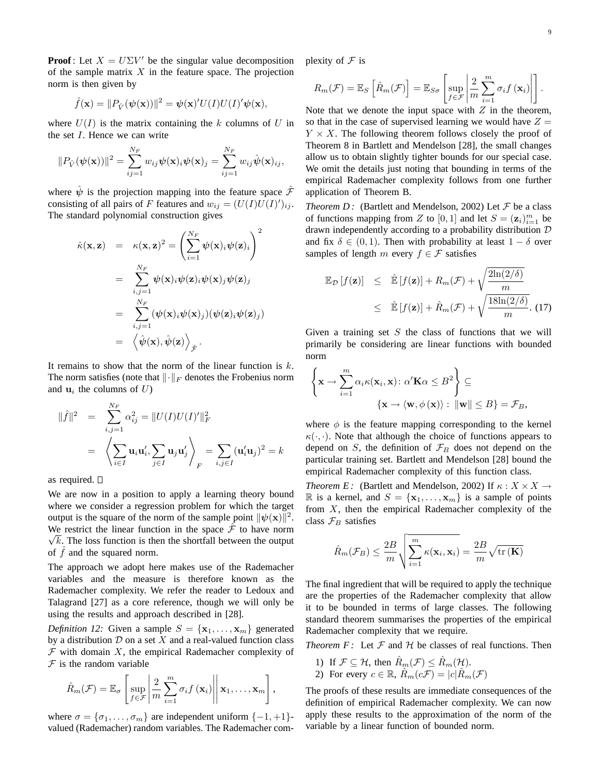**Proof**: Let  $X = U\Sigma V'$  be the singular value decomposition of the sample matrix  $X$  in the feature space. The projection norm is then given by

$$
\hat{f}(\mathbf{x}) = ||P_{\hat{V}}(\boldsymbol{\psi}(\mathbf{x}))||^2 = \boldsymbol{\psi}(\mathbf{x})'U(I)U(I)'\boldsymbol{\psi}(\mathbf{x}),
$$

where  $U(I)$  is the matrix containing the k columns of U in the set I. Hence we can write

$$
||P_{\hat{V}}(\boldsymbol{\psi}(\mathbf{x}))||^2 = \sum_{ij=1}^{N_F} w_{ij} \boldsymbol{\psi}(\mathbf{x})_i \boldsymbol{\psi}(\mathbf{x})_j = \sum_{ij=1}^{N_F} w_{ij} \hat{\boldsymbol{\psi}}(\mathbf{x})_{ij},
$$

where  $\hat{\psi}$  is the projection mapping into the feature space  $\hat{\mathcal{F}}$ consisting of all pairs of F features and  $w_{ij} = (U(I)U(I))_{ij}$ . The standard polynomial construction gives

$$
\hat{\kappa}(\mathbf{x}, \mathbf{z}) = \kappa(\mathbf{x}, \mathbf{z})^2 = \left(\sum_{i=1}^{N_F} \psi(\mathbf{x})_i \psi(\mathbf{z})_i\right)^2
$$
  
\n
$$
= \sum_{i,j=1}^{N_F} \psi(\mathbf{x})_i \psi(\mathbf{z})_i \psi(\mathbf{x})_j \psi(\mathbf{z})_j
$$
  
\n
$$
= \sum_{i,j=1}^{N_F} (\psi(\mathbf{x})_i \psi(\mathbf{x})_j) (\psi(\mathbf{z})_i \psi(\mathbf{z})_j)
$$
  
\n
$$
= \left\langle \hat{\psi}(\mathbf{x}), \hat{\psi}(\mathbf{z}) \right\rangle_{\hat{\mathcal{F}}}.
$$

It remains to show that the norm of the linear function is  $k$ . The norm satisfies (note that  $\|\cdot\|_F$  denotes the Frobenius norm and  $\mathbf{u}_i$  the columns of  $U$ )

$$
\|\hat{f}\|^2 = \sum_{i,j=1}^{N_F} \alpha_{ij}^2 = \|U(I)U(I)'\|_F^2
$$
  
=  $\left\langle \sum_{i \in I} \mathbf{u}_i \mathbf{u}_i', \sum_{j \in I} \mathbf{u}_j \mathbf{u}_j' \right\rangle_F = \sum_{i,j \in I} (\mathbf{u}_i' \mathbf{u}_j)^2 = k$ 

as required.  $\square$ 

We are now in a position to apply a learning theory bound where we consider a regression problem for which the target output is the square of the norm of the sample point  $\|\psi(\mathbf{x})\|^2$ . We restrict the linear function in the space  $\hat{\mathcal{F}}$  to have norm  $\sqrt{k}$ . The loss function is then the shortfall between the output of  $f$  and the squared norm.

The approach we adopt here makes use of the Rademacher variables and the measure is therefore known as the Rademacher complexity. We refer the reader to Ledoux and Talagrand [27] as a core reference, though we will only be using the results and approach described in [28].

*Definition 12:* Given a sample  $S = {\mathbf{x}_1, \dots, \mathbf{x}_m}$  generated by a distribution  $D$  on a set  $X$  and a real-valued function class  $F$  with domain  $X$ , the empirical Rademacher complexity of  $F$  is the random variable

$$
\hat{R}_m(\mathcal{F}) = \mathbb{E}_{\sigma}\left[\sup_{f \in \mathcal{F}} \left| \frac{2}{m} \sum_{i=1}^m \sigma_i f(\mathbf{x}_i) \right| \middle| \mathbf{x}_1, \dots, \mathbf{x}_m \right],
$$

where  $\sigma = {\sigma_1, \ldots, \sigma_m}$  are independent uniform  $\{-1, +1\}$ valued (Rademacher) random variables. The Rademacher complexity of  $\mathcal F$  is

$$
R_m(\mathcal{F}) = \mathbb{E}_S \left[ \hat{R}_m(\mathcal{F}) \right] = \mathbb{E}_{S\sigma} \left[ \sup_{f \in \mathcal{F}} \left| \frac{2}{m} \sum_{i=1}^m \sigma_i f(\mathbf{x}_i) \right| \right].
$$

Note that we denote the input space with  $Z$  in the theorem, so that in the case of supervised learning we would have  $Z =$  $Y \times X$ . The following theorem follows closely the proof of Theorem 8 in Bartlett and Mendelson [28], the small changes allow us to obtain slightly tighter bounds for our special case. We omit the details just noting that bounding in terms of the empirical Rademacher complexity follows from one further application of Theorem B.

*Theorem D:* (Bartlett and Mendelson, 2002) Let  $\mathcal F$  be a class of functions mapping from Z to [0, 1] and let  $S = (\mathbf{z}_i)_{i=1}^m$  be drawn independently according to a probability distribution D and fix  $\delta \in (0,1)$ . Then with probability at least  $1 - \delta$  over samples of length m every  $f \in \mathcal{F}$  satisfies

$$
\mathbb{E}_{\mathcal{D}}[f(\mathbf{z})] \leq \hat{\mathbb{E}}[f(\mathbf{z})] + R_m(\mathcal{F}) + \sqrt{\frac{2\ln(2/\delta)}{m}}
$$
  
 
$$
\leq \hat{\mathbb{E}}[f(\mathbf{z})] + \hat{R}_m(\mathcal{F}) + \sqrt{\frac{18\ln(2/\delta)}{m}}.
$$
 (17)

Given a training set  $S$  the class of functions that we will primarily be considering are linear functions with bounded norm

$$
\left\{ \mathbf{x} \to \sum_{i=1}^{m} \alpha_i \kappa(\mathbf{x}_i, \mathbf{x}) : \alpha' \mathbf{K} \alpha \leq B^2 \right\} \subseteq
$$

$$
\left\{ \mathbf{x} \to \langle \mathbf{w}, \phi(\mathbf{x}) \rangle : \|\mathbf{w}\| \leq B \right\} = \mathcal{F}_B,
$$

where  $\phi$  is the feature mapping corresponding to the kernel  $\kappa(\cdot, \cdot)$ . Note that although the choice of functions appears to depend on S, the definition of  $\mathcal{F}_B$  does not depend on the particular training set. Bartlett and Mendelson [28] bound the empirical Rademacher complexity of this function class.

*Theorem E:* (Bartlett and Mendelson, 2002) If  $\kappa$  :  $X \times X \rightarrow$ R is a kernel, and  $S = {\mathbf{x}_1, \dots, \mathbf{x}_m}$  is a sample of points from  $X$ , then the empirical Rademacher complexity of the class  $\mathcal{F}_B$  satisfies

$$
\hat{R}_{m}(\mathcal{F}_{B}) \leq \frac{2B}{m} \sqrt{\sum_{i=1}^{m} \kappa(\mathbf{x}_{i}, \mathbf{x}_{i})} = \frac{2B}{m} \sqrt{\text{tr}(\mathbf{K})}
$$

The final ingredient that will be required to apply the technique are the properties of the Rademacher complexity that allow it to be bounded in terms of large classes. The following standard theorem summarises the properties of the empirical Rademacher complexity that we require.

*Theorem F:* Let  $F$  and  $H$  be classes of real functions. Then

1) If  $\mathcal{F} \subseteq \mathcal{H}$ , then  $\hat{R}_m(\mathcal{F}) \leq \hat{R}_m(\mathcal{H})$ . 2) For every  $c \in \mathbb{R}$ ,  $\hat{R}_m(c\mathcal{F}) = |c|\hat{R}_m(\mathcal{F})$ 

The proofs of these results are immediate consequences of the definition of empirical Rademacher complexity. We can now apply these results to the approximation of the norm of the variable by a linear function of bounded norm.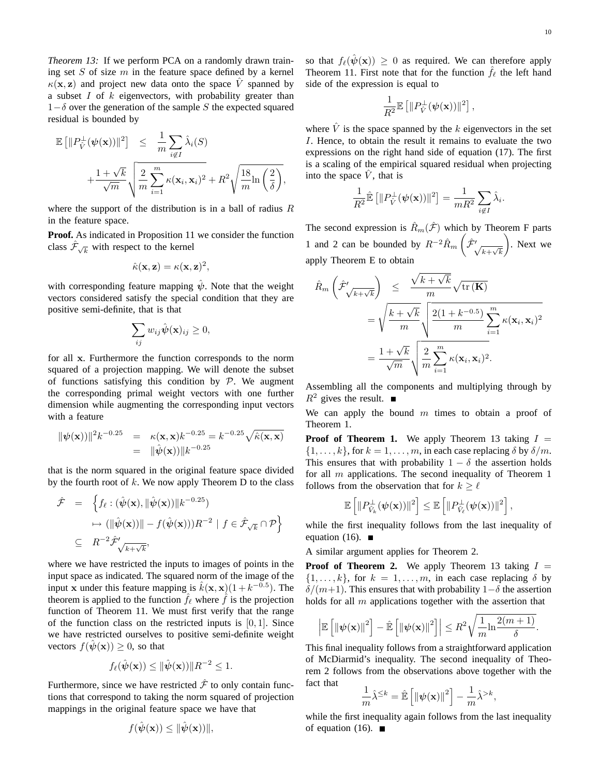*Theorem 13:* If we perform PCA on a randomly drawn training set  $S$  of size  $m$  in the feature space defined by a kernel  $\kappa(\mathbf{x}, \mathbf{z})$  and project new data onto the space  $\hat{V}$  spanned by a subset  $I$  of  $k$  eigenvectors, with probability greater than  $1-\delta$  over the generation of the sample S the expected squared residual is bounded by

$$
\mathbb{E}\left[\|P_{\hat{V}}^{\perp}(\boldsymbol{\psi}(\mathbf{x}))\|^2\right] \leq \frac{1}{m} \sum_{i \notin I} \hat{\lambda}_i(S)
$$

$$
+ \frac{1 + \sqrt{k}}{\sqrt{m}} \sqrt{\frac{2}{m} \sum_{i=1}^m \kappa(\mathbf{x}_i, \mathbf{x}_i)^2 + R^2} \sqrt{\frac{18}{m} \ln\left(\frac{2}{\delta}\right)},
$$

where the support of the distribution is in a ball of radius  $R$ in the feature space.

**Proof.** As indicated in Proposition 11 we consider the function class  $\hat{\mathcal{F}}_{\sqrt{k}}$  with respect to the kernel

$$
\hat{\kappa}(\mathbf{x}, \mathbf{z}) = \kappa(\mathbf{x}, \mathbf{z})^2,
$$

with corresponding feature mapping  $\hat{\psi}$ . Note that the weight vectors considered satisfy the special condition that they are positive semi-definite, that is that

$$
\sum_{ij} w_{ij} \hat{\boldsymbol{\psi}}(\mathbf{x})_{ij} \ge 0,
$$

for all x. Furthermore the function corresponds to the norm squared of a projection mapping. We will denote the subset of functions satisfying this condition by  $P$ . We augment the corresponding primal weight vectors with one further dimension while augmenting the corresponding input vectors with a feature

$$
\|\psi(\mathbf{x}))\|^2 k^{-0.25} = \kappa(\mathbf{x}, \mathbf{x}) k^{-0.25} = k^{-0.25} \sqrt{\hat{\kappa}(\mathbf{x}, \mathbf{x})}
$$
  
= 
$$
\|\hat{\psi}(\mathbf{x}))\| k^{-0.25}
$$

that is the norm squared in the original feature space divided by the fourth root of  $k$ . We now apply Theorem D to the class

$$
\hat{\mathcal{F}} = \left\{ f_{\ell} : (\hat{\psi}(\mathbf{x}), ||\hat{\psi}(\mathbf{x}))||k^{-0.25}) \right\}
$$

$$
\mapsto (||\hat{\psi}(\mathbf{x}))|| - f(\hat{\psi}(\mathbf{x})))R^{-2} | f \in \hat{\mathcal{F}}_{\sqrt{k}} \cap \mathcal{P} \right\}
$$

$$
\subseteq R^{-2} \hat{\mathcal{F}}'_{\sqrt{k+\sqrt{k}}},
$$

where we have restricted the inputs to images of points in the input space as indicated. The squared norm of the image of the input x under this feature mapping is  $\hat{k}(\mathbf{x}, \mathbf{x}) (1 + k^{-0.5})$ . The theorem is applied to the function  $\hat{f}_{\ell}$  where  $\hat{f}$  is the projection function of Theorem 11. We must first verify that the range of the function class on the restricted inputs is  $[0, 1]$ . Since we have restricted ourselves to positive semi-definite weight vectors  $f(\hat{\psi}(\mathbf{x})) \geq 0$ , so that

$$
f_{\ell}(\hat{\boldsymbol{\psi}}(\mathbf{x})) \le ||\hat{\boldsymbol{\psi}}(\mathbf{x}))||R^{-2} \le 1.
$$

Furthermore, since we have restricted  $\hat{\mathcal{F}}$  to only contain functions that correspond to taking the norm squared of projection mappings in the original feature space we have that

$$
f(\hat{\boldsymbol{\psi}}(\mathbf{x})) \leq \|\hat{\boldsymbol{\psi}}(\mathbf{x}))\|,
$$

so that  $f_{\ell}(\hat{\psi}(\mathbf{x})) \geq 0$  as required. We can therefore apply Theorem 11. First note that for the function  $\hat{f}_\ell$  the left hand side of the expression is equal to

$$
\frac{1}{R^2} \mathbb{E}\left[\|P_{\hat{V}}^\perp(\boldsymbol{\psi}(\mathbf{x}))\|^2\right],
$$

where  $\hat{V}$  is the space spanned by the k eigenvectors in the set I. Hence, to obtain the result it remains to evaluate the two expressions on the right hand side of equation (17). The first is a scaling of the empirical squared residual when projecting into the space  $V$ , that is

$$
\frac{1}{R^2}\hat{\mathbb{E}}\left[\|P_{\hat{V}}^{\perp}(\boldsymbol{\psi}(\mathbf{x}))\|^2\right] = \frac{1}{mR^2}\sum_{i \notin I}\hat{\lambda}_i.
$$

The second expression is  $\hat{R}_m(\hat{\mathcal{F}})$  which by Theorem F parts 1 and 2 can be bounded by  $R^{-2}\hat{R}_m\left(\hat{\mathcal{F}}'_{\sqrt{k+\sqrt{k}}}\right)$ . Next we apply Theorem E to obtain

$$
\hat{R}_{m}\left(\hat{\mathcal{F}}'_{\sqrt{k+\sqrt{k}}}\right) \leq \frac{\sqrt{k+\sqrt{k}}}{m} \sqrt{\text{tr}\left(\mathbf{K}\right)}
$$
\n
$$
= \sqrt{\frac{k+\sqrt{k}}{m}} \sqrt{\frac{2(1+k^{-0.5})}{m}} \sum_{i=1}^{m} \kappa(\mathbf{x}_{i}, \mathbf{x}_{i})^{2}
$$
\n
$$
= \frac{1+\sqrt{k}}{\sqrt{m}} \sqrt{\frac{2}{m} \sum_{i=1}^{m} \kappa(\mathbf{x}_{i}, \mathbf{x}_{i})^{2}}.
$$

Assembling all the components and multiplying through by  $R^2$  gives the result.  $\blacksquare$ 

We can apply the bound  $m$  times to obtain a proof of Theorem 1.

**Proof of Theorem 1.** We apply Theorem 13 taking  $I =$  $\{1, \ldots, k\}$ , for  $k = 1, \ldots, m$ , in each case replacing  $\delta$  by  $\delta/m$ . This ensures that with probability  $1 - \delta$  the assertion holds for all  $m$  applications. The second inequality of Theorem 1 follows from the observation that for  $k \geq \ell$ 

$$
\mathbb{E}\left[\|P_{\hat{V}_k}^{\perp}(\boldsymbol{\psi}(\mathbf{x}))\|^2\right] \leq \mathbb{E}\left[\|P_{\hat{V}_{\ell}}^{\perp}(\boldsymbol{\psi}(\mathbf{x}))\|^2\right]
$$

,

,

while the first inequality follows from the last inequality of equation (16).  $\blacksquare$ 

A similar argument applies for Theorem 2.

**Proof of Theorem 2.** We apply Theorem 13 taking  $I =$  $\{1, \ldots, k\}$ , for  $k = 1, \ldots, m$ , in each case replacing  $\delta$  by  $\delta/(m+1)$ . This ensures that with probability  $1-\delta$  the assertion holds for all  $m$  applications together with the assertion that

$$
\left|\mathbb{E}\left[\left\|\psi(\mathbf{x})\right\|^2\right] - \hat{\mathbb{E}}\left[\left\|\psi(\mathbf{x})\right\|^2\right]\right| \leq R^2 \sqrt{\frac{1}{m} \ln \frac{2(m+1)}{\delta}}.
$$

This final inequality follows from a straightforward application of McDiarmid's inequality. The second inequality of Theorem 2 follows from the observations above together with the fact that h i

$$
\frac{1}{m}\hat{\lambda}^{\leq k}=\hat{\mathbb{E}}\left[\left\Vert \psi(\mathbf{x})\right\Vert ^{2}\right]-\frac{1}{m}\hat{\lambda}^{>k}
$$

while the first inequality again follows from the last inequality of equation (16).  $\blacksquare$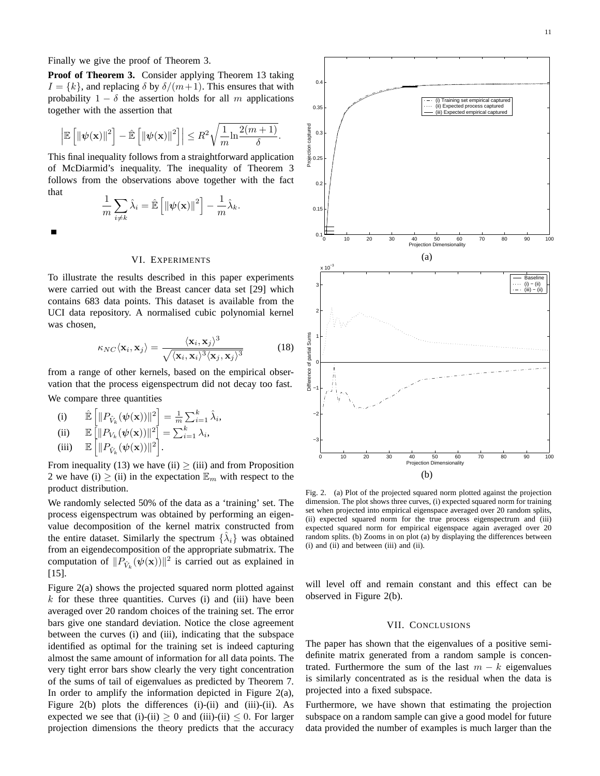Finally we give the proof of Theorem 3.

**Proof of Theorem 3.** Consider applying Theorem 13 taking  $I = \{k\}$ , and replacing  $\delta$  by  $\delta/(m+1)$ . This ensures that with probability  $1 - \delta$  the assertion holds for all m applications together with the assertion that

$$
\left|\mathbb{E}\left[\left\|\psi(\mathbf{x})\right\|^2\right] - \hat{\mathbb{E}}\left[\left\|\psi(\mathbf{x})\right\|^2\right]\right| \leq R^2 \sqrt{\frac{1}{m} \ln \frac{2(m+1)}{\delta}}.
$$

This final inequality follows from a straightforward application of McDiarmid's inequality. The inequality of Theorem 3 follows from the observations above together with the fact that  $\overline{\phantom{a}}$ h i

$$
\frac{1}{m}\sum_{i\neq k}\hat{\lambda}_i=\hat{\mathbb{E}}\left[\left\|\psi(\mathbf{x})\right\|^2\right]-\frac{1}{m}\hat{\lambda}_k.
$$

# VI. EXPERIMENTS

To illustrate the results described in this paper experiments were carried out with the Breast cancer data set [29] which contains 683 data points. This dataset is available from the UCI data repository. A normalised cubic polynomial kernel was chosen,

$$
\kappa_{NC} \langle \mathbf{x}_i, \mathbf{x}_j \rangle = \frac{\langle \mathbf{x}_i, \mathbf{x}_j \rangle^3}{\sqrt{\langle \mathbf{x}_i, \mathbf{x}_i \rangle^3 \langle \mathbf{x}_j, \mathbf{x}_j \rangle^3}}
$$
(18)

from a range of other kernels, based on the empirical observation that the process eigenspectrum did not decay too fast. We compare three quantities

(i) 
$$
\mathbb{E}\left[\|P_{\hat{V}_k}(\psi(\mathbf{x}))\|^2\right] = \frac{1}{m}\sum_{i=1}^k \hat{\lambda}_i,
$$

$$
\begin{array}{ll}\n\text{(ii)} & \mathbb{E}\left[\|P_{V_k}(\boldsymbol{\psi}(\mathbf{x}))\|^2\right] = \sum_{i=1}^k \lambda_i,\n\end{array}
$$

(iii) 
$$
\mathbb{E}\left[\|P_{\hat{V}_k}(\psi(\mathbf{x}))\|^2\right].
$$

From inequality (13) we have (ii)  $\ge$  (iii) and from Proposition 2 we have (i)  $\geq$  (ii) in the expectation  $\mathbb{E}_m$  with respect to the product distribution.

We randomly selected 50% of the data as a 'training' set. The process eigenspectrum was obtained by performing an eigenvalue decomposition of the kernel matrix constructed from the entire dataset. Similarly the spectrum  $\{\hat{\lambda}_i\}$  was obtained from an eigendecomposition of the appropriate submatrix. The computation of  $||P_{\hat{V}_k}(\psi(\mathbf{x}))||^2$  is carried out as explained in [15].

Figure 2(a) shows the projected squared norm plotted against  $k$  for these three quantities. Curves (i) and (iii) have been averaged over 20 random choices of the training set. The error bars give one standard deviation. Notice the close agreement between the curves (i) and (iii), indicating that the subspace identified as optimal for the training set is indeed capturing almost the same amount of information for all data points. The very tight error bars show clearly the very tight concentration of the sums of tail of eigenvalues as predicted by Theorem 7. In order to amplify the information depicted in Figure  $2(a)$ , Figure 2(b) plots the differences (i)-(ii) and (iii)-(ii). As expected we see that (i)-(ii)  $\geq 0$  and (iii)-(ii)  $\leq 0$ . For larger projection dimensions the theory predicts that the accuracy



Fig. 2. (a) Plot of the projected squared norm plotted against the projection dimension. The plot shows three curves, (i) expected squared norm for training set when projected into empirical eigenspace averaged over 20 random splits, (ii) expected squared norm for the true process eigenspectrum and (iii) expected squared norm for empirical eigenspace again averaged over 20 random splits. (b) Zooms in on plot (a) by displaying the differences between (i) and (ii) and between (iii) and (ii).

will level off and remain constant and this effect can be observed in Figure 2(b).

#### VII. CONCLUSIONS

The paper has shown that the eigenvalues of a positive semidefinite matrix generated from a random sample is concentrated. Furthermore the sum of the last  $m - k$  eigenvalues is similarly concentrated as is the residual when the data is projected into a fixed subspace.

Furthermore, we have shown that estimating the projection subspace on a random sample can give a good model for future data provided the number of examples is much larger than the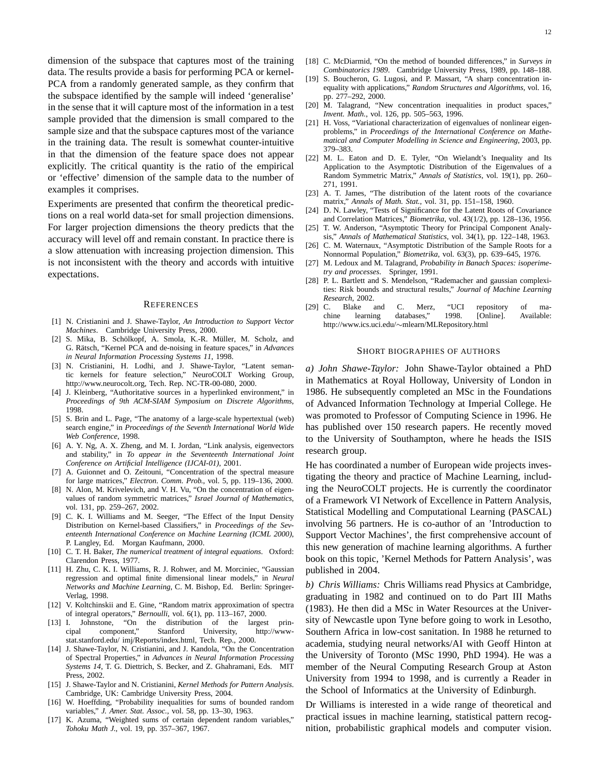dimension of the subspace that captures most of the training data. The results provide a basis for performing PCA or kernel-PCA from a randomly generated sample, as they confirm that the subspace identified by the sample will indeed 'generalise' in the sense that it will capture most of the information in a test sample provided that the dimension is small compared to the sample size and that the subspace captures most of the variance in the training data. The result is somewhat counter-intuitive in that the dimension of the feature space does not appear explicitly. The critical quantity is the ratio of the empirical or 'effective' dimension of the sample data to the number of examples it comprises.

Experiments are presented that confirm the theoretical predictions on a real world data-set for small projection dimensions. For larger projection dimensions the theory predicts that the accuracy will level off and remain constant. In practice there is a slow attenuation with increasing projection dimension. This is not inconsistent with the theory and accords with intuitive expectations.

#### **REFERENCES**

- [1] N. Cristianini and J. Shawe-Taylor, *An Introduction to Support Vector Machines*. Cambridge University Press, 2000.
- [2] S. Mika, B. Schölkopf, A. Smola, K.-R. Müller, M. Scholz, and G. Rätsch, "Kernel PCA and de-noising in feature spaces," in *Advances in Neural Information Processing Systems 11*, 1998.
- [3] N. Cristianini, H. Lodhi, and J. Shawe-Taylor, "Latent semantic kernels for feature selection," NeuroCOLT Working Group, http://www.neurocolt.org, Tech. Rep. NC-TR-00-080, 2000.
- [4] J. Kleinberg, "Authoritative sources in a hyperlinked environment," in *Proceedings of 9th ACM-SIAM Symposium on Discrete Algorithms*, 1998.
- [5] S. Brin and L. Page, "The anatomy of a large-scale hypertextual (web) search engine," in *Proceedings of the Seventh International World Wide Web Conference*, 1998.
- [6] A. Y. Ng, A. X. Zheng, and M. I. Jordan, "Link analysis, eigenvectors and stability," in *To appear in the Seventeenth International Joint Conference on Artificial Intelligence (IJCAI-01)*, 2001.
- [7] A. Guionnet and O. Zeitouni, "Concentration of the spectral measure for large matrices," *Electron. Comm. Prob.*, vol. 5, pp. 119–136, 2000.
- [8] N. Alon, M. Krivelevich, and V. H. Vu, "On the concentration of eigenvalues of random symmetric matrices," *Israel Journal of Mathematics*, vol. 131, pp. 259–267, 2002.
- [9] C. K. I. Williams and M. Seeger, "The Effect of the Input Density Distribution on Kernel-based Classifiers," in *Proceedings of the Seventeenth International Conference on Machine Learning (ICML 2000)*, P. Langley, Ed. Morgan Kaufmann, 2000.
- [10] C. T. H. Baker, *The numerical treatment of integral equations*. Oxford: Clarendon Press, 1977.
- [11] H. Zhu, C. K. I. Williams, R. J. Rohwer, and M. Morciniec, "Gaussian regression and optimal finite dimensional linear models," in *Neural Networks and Machine Learning*, C. M. Bishop, Ed. Berlin: Springer-Verlag, 1998.
- [12] V. Koltchinskii and E. Gine, "Random matrix approximation of spectra of integral operators," *Bernoulli*, vol. 6(1), pp. 113–167, 2000.
- [13] I. Johnstone, "On the distribution of the largest principal component," Stanford University, http://wwwstat.stanford.edu/ imj/Reports/index.html, Tech. Rep., 2000.
- [14] J. Shawe-Taylor, N. Cristianini, and J. Kandola, "On the Concentration of Spectral Properties," in *Advances in Neural Information Processing Systems 14*, T. G. Diettrich, S. Becker, and Z. Ghahramani, Eds. MIT Press, 2002.
- [15] J. Shawe-Taylor and N. Cristianini, *Kernel Methods for Pattern Analysis*. Cambridge, UK: Cambridge University Press, 2004.
- [16] W. Hoeffding, "Probability inequalities for sums of bounded random variables," *J. Amer. Stat. Assoc.*, vol. 58, pp. 13–30, 1963.
- [17] K. Azuma, "Weighted sums of certain dependent random variables," *Tohoku Math J.*, vol. 19, pp. 357–367, 1967.
- [18] C. McDiarmid, "On the method of bounded differences," in *Surveys in Combinatorics 1989*. Cambridge University Press, 1989, pp. 148–188.
- [19] S. Boucheron, G. Lugosi, and P. Massart, "A sharp concentration inequality with applications," *Random Structures and Algorithms*, vol. 16, pp. 277–292, 2000.
- [20] M. Talagrand, "New concentration inequalities in product spaces," *Invent. Math.*, vol. 126, pp. 505–563, 1996.
- [21] H. Voss, "Variational characterization of eigenvalues of nonlinear eigenproblems," in *Proceedings of the International Conference on Mathematical and Computer Modelling in Science and Engineering*, 2003, pp. 379–383.
- [22] M. L. Eaton and D. E. Tyler, "On Wielandt's Inequality and Its Application to the Asymptotic Distribution of the Eigenvalues of a Random Symmetric Matrix," *Annals of Statistics*, vol. 19(1), pp. 260– 271, 1991.
- [23] A. T. James, "The distribution of the latent roots of the covariance matrix," *Annals of Math. Stat.*, vol. 31, pp. 151–158, 1960.
- [24] D. N. Lawley, "Tests of Significance for the Latent Roots of Covariance and Correlation Matrices," *Biometrika*, vol. 43(1/2), pp. 128–136, 1956.
- [25] T. W. Anderson, "Asymptotic Theory for Principal Component Analysis," *Annals of Mathematical Statistics*, vol. 34(1), pp. 122–148, 1963.
- [26] C. M. Waternaux, "Asymptotic Distribution of the Sample Roots for a Nonnormal Population," *Biometrika*, vol. 63(3), pp. 639–645, 1976.
- [27] M. Ledoux and M. Talagrand, *Probability in Banach Spaces: isoperimetry and processes*. Springer, 1991.
- [28] P. L. Bartlett and S. Mendelson, "Rademacher and gaussian complexities: Risk bounds and structural results," *Journal of Machine Learning Research*, 2002.
- [29] C. Blake and C. Merz, "UCI repository of machine learning databases," 1998. [Online]. Available: http://www.ics.uci.edu/∼mlearn/MLRepository.html

#### SHORT BIOGRAPHIES OF AUTHORS

*a) John Shawe-Taylor:* John Shawe-Taylor obtained a PhD in Mathematics at Royal Holloway, University of London in 1986. He subsequently completed an MSc in the Foundations of Advanced Information Technology at Imperial College. He was promoted to Professor of Computing Science in 1996. He has published over 150 research papers. He recently moved to the University of Southampton, where he heads the ISIS research group.

He has coordinated a number of European wide projects investigating the theory and practice of Machine Learning, including the NeuroCOLT projects. He is currently the coordinator of a Framework VI Network of Excellence in Pattern Analysis, Statistical Modelling and Computational Learning (PASCAL) involving 56 partners. He is co-author of an 'Introduction to Support Vector Machines', the first comprehensive account of this new generation of machine learning algorithms. A further book on this topic, 'Kernel Methods for Pattern Analysis', was published in 2004.

*b) Chris Williams:* Chris Williams read Physics at Cambridge, graduating in 1982 and continued on to do Part III Maths (1983). He then did a MSc in Water Resources at the University of Newcastle upon Tyne before going to work in Lesotho, Southern Africa in low-cost sanitation. In 1988 he returned to academia, studying neural networks/AI with Geoff Hinton at the University of Toronto (MSc 1990, PhD 1994). He was a member of the Neural Computing Research Group at Aston University from 1994 to 1998, and is currently a Reader in the School of Informatics at the University of Edinburgh.

Dr Williams is interested in a wide range of theoretical and practical issues in machine learning, statistical pattern recognition, probabilistic graphical models and computer vision.